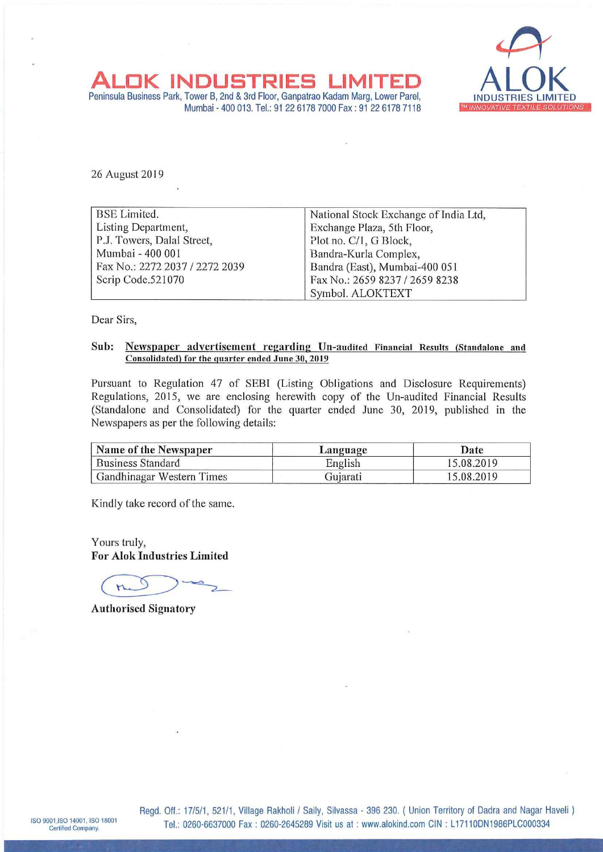

ALOK INDUSTRIES LIMITED ALOK<br>Peninsula Business Park, Tower B, 2nd & 3rd Floor, Ganpatrao Kadam Marg, Lower Parel, INDUSTRIES LIMITED **OK INDUSTRIES** Mumbai - 400 013. Tel: <sup>91</sup> 22 6178 7000 Fax: <sup>91</sup> 22 6178 7118 <sup>W</sup> INNOVATIVE TEXT/15 SDWT'ONS

26 August 2019

| <b>BSE Limited.</b>            | National Stock Exchange of India Ltd, |
|--------------------------------|---------------------------------------|
| Listing Department,            | Exchange Plaza, 5th Floor,            |
| P.J. Towers, Dalal Street,     | Plot no. C/1, G Block,                |
| Mumbai - 400 001               | Bandra-Kurla Complex,                 |
| Fax No.: 2272 2037 / 2272 2039 | Bandra (East), Mumbai-400 051         |
| Scrip Code.521070              | Fax No.: 2659 8237 / 2659 8238        |
|                                | Symbol. ALOKTEXT                      |

Dear Sirs,

#### Sub: Newspaper advertisement regarding Un-audited Financial Results (Standalone and Consolidated) for the quarter ended June 30, 2019

Pursuant to Regulation <sup>47</sup> of SEBI (Listing Obligations and Disclosure Requirements) Regulations, 2015, we are enclosing herewith copy of the Un-audited Financial Results (Standalone and Consolidated) for the quarter ended June 30, 2019, published in the Newspapers as per the following details:

| Name of the Newspaper            | Language | Date       |  |  |
|----------------------------------|----------|------------|--|--|
| <b>Business Standard</b>         | English  | 15.08.2019 |  |  |
| <b>Gandhinagar Western Times</b> | Gujarati | 15.08.2019 |  |  |

Kindly take record of the same.

Yours truly, For Alok Industries Limited

 $\underbrace{\text{mod}}$ 

Authorised Signatory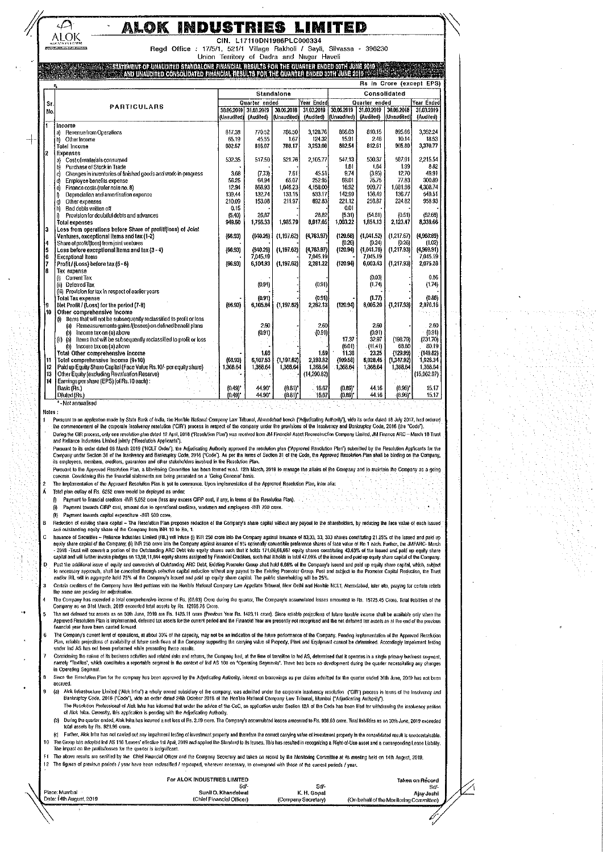### ALOK INDUSTRIES LIMITED

CIN. L17110DN1986PLC000334

Regd Office : 17/5/1, 521/1 Village Rakholl / Sayli, Silvassa - 396230 Union Territory of Dadra and Nagar Haveli

#### **STATEMENT OF UNAUDITED STA** MOALONE FINANCIAL RESULTS FOR THE QUARTER ENDED 30TH JUNE 2019 **ALL CALLED**

|                                                  | $\approx$ and unaudited consolidated financial results for the quarter ended 30th June 2019 $\sim$ 30 and 2019 $\sim$ 30 and 2019 $\sim$ 30 and 2019 $\sim$ 30 and 2019 $\sim$ 30 and 30 and 30 and 30 and 30 and 30 and 30 and 30 and 30 an |                       |                      |                       |                     |                             |                     |                       |                      |
|--------------------------------------------------|----------------------------------------------------------------------------------------------------------------------------------------------------------------------------------------------------------------------------------------------|-----------------------|----------------------|-----------------------|---------------------|-----------------------------|---------------------|-----------------------|----------------------|
| <b>Rs in Crore (except EPS)</b>                  |                                                                                                                                                                                                                                              |                       |                      |                       |                     |                             |                     |                       |                      |
|                                                  |                                                                                                                                                                                                                                              | Standalone            |                      |                       | Consolidated        |                             |                     |                       |                      |
| St.                                              |                                                                                                                                                                                                                                              |                       | Quarter ended        |                       | Year Ended          | Year Ended<br>Quarter ended |                     |                       |                      |
| No.                                              | <b>PARTICULARS</b>                                                                                                                                                                                                                           | 30.06.2019            | 31.03.2019           | 30.06.2018            | 31.03.2019          | 30,06,2019                  | 31.03.2019          | 30.06.2018            | 31.03.2019           |
|                                                  |                                                                                                                                                                                                                                              | (Unaudited)           | (Audited)            | (Unaudited)           | (Audited)           | (Unaudited)                 | (Audited)           | (Unaudited)           | (Audited)            |
| l1.                                              | income                                                                                                                                                                                                                                       |                       |                      |                       |                     |                             |                     |                       |                      |
|                                                  | <b>Revenue from Operations</b><br>a)                                                                                                                                                                                                         | 817.38                | 770.52               | 786.50                | 3.128.76            | 866.63                      | 810.15              | 895.66                | 3,352.24             |
|                                                  | Other Income<br>b).                                                                                                                                                                                                                          | 65.19                 | 45.55                | 1.67                  | 124.32              | 15.91                       | 2.46                | 10.14                 | 18.53                |
|                                                  | <b>Total Income</b>                                                                                                                                                                                                                          | 882.57                | 816.07               | 788.17                | 3,253,08            | 882 54                      | 812.61              | 905.80                | 3,370.77             |
| İ2                                               | <b>Expenses</b>                                                                                                                                                                                                                              |                       |                      |                       |                     |                             |                     |                       |                      |
|                                                  | Cost of materials consumed<br>a)                                                                                                                                                                                                             | 532.35                | 517.50               | 521.76                | 2,105.77            | 547.13                      | 530.37              | 587.91                | 2.215.54             |
|                                                  | Purchase of Stock in Trade<br>p)                                                                                                                                                                                                             |                       |                      |                       |                     | 1.61                        | 1.64                | 1.99                  | 8.82                 |
|                                                  | Changes in inventories of finished goods and work-in-progress<br>d                                                                                                                                                                           | 3.68                  | (7.73)               | 761                   | 45.51               | 9.74                        | (3.95)              | 1270                  | 49.91                |
|                                                  | Employee benefils expense<br>d)                                                                                                                                                                                                              | 56.25                 | 64.94                | 65.07                 | 252.95              | 69.01                       | 75.75               | 77.83                 | 300.89               |
|                                                  | Finance costs (refer note no. 8)<br>e)                                                                                                                                                                                                       | 12.94                 | 868.93               | 1.046.23              | 4.158.00            | 16.92                       | 909.77              | 1.081.96              | 4,308.74             |
|                                                  | Depreciation and amortisation expense<br>₿                                                                                                                                                                                                   | 139.44                | 132.74               | 133.15                | 533.17              | 142.99                      | 136.49              | 136.77                | 549.51               |
|                                                  | Other expenses<br>g)                                                                                                                                                                                                                         | 210.09                | 153.08               | 211.97                | 692.63              | 221.12                      | 256.87              | 224.82                | 958.93               |
|                                                  | 'n<br>Bad debts written off                                                                                                                                                                                                                  | 0.15                  |                      |                       |                     | 0.01                        |                     |                       |                      |
|                                                  | Provision for doubtful debts and advances<br>ñ                                                                                                                                                                                               | (5.40)                | 26.87                |                       | 26,82               | (5.31)                      | (54.81)             | (0.51)                | (52.68)              |
|                                                  | <b>Total expenses</b>                                                                                                                                                                                                                        | 949.50                | 1,756.33             | 1,985.79              | 8.017.05            | 1,003.22                    | 1,854.13            | 2,123.47              | 8,339.66             |
| l3                                               | Loss from operations before Share of profit/(loss) of Joint                                                                                                                                                                                  |                       |                      |                       |                     |                             |                     |                       |                      |
|                                                  | Ventures, exceptional Items and tax (1-2)                                                                                                                                                                                                    | ${66.93}$             | (940.26)             | (1.197.62)            | (4.763.97)          | (120.68)                    | (1.041.52)          | (1217.67)             | (4,960,69)           |
|                                                  | Share of profit/(loss) from joint ventures                                                                                                                                                                                                   |                       |                      |                       |                     | (0.26)                      | (0.24)              | (0.26)                | (1.02)               |
|                                                  | Loss before exceptional liems and tax (3 - 4)                                                                                                                                                                                                | (66.93)               | (940.26)<br>7.045.19 | (1, 197.62)           | (4,763.97)          | (120.94)                    | (1,041.76)          | (1, 217.93)           | (4,969.91)           |
| $\begin{bmatrix} 4 \\ 5 \\ 6 \\ 7 \end{bmatrix}$ | <b>Exceptional Items</b>                                                                                                                                                                                                                     | (66.93)               |                      | (1, 197.62)           | 7045.19<br>2 281.22 | (120.94)                    | 7045.19<br>6.003.43 | (1.217.93)            | 7.045.19<br>2,075.28 |
| l 8                                              | Profit/(Loss) before tax (5-6)                                                                                                                                                                                                               |                       | 6 104 93             |                       |                     |                             |                     |                       |                      |
|                                                  | Tax expense<br>Current Tax                                                                                                                                                                                                                   |                       |                      |                       |                     |                             | (0.03)              |                       | 0.86                 |
|                                                  | 0<br>(iii) Deferred Tax                                                                                                                                                                                                                      |                       | (0.91)               |                       | (0.91)              |                             | (1.74)              |                       | (1.74)               |
|                                                  | (iii) Provision for tax in respect of earlier years                                                                                                                                                                                          |                       |                      |                       |                     |                             |                     |                       |                      |
|                                                  | <b>Total Tax expense</b>                                                                                                                                                                                                                     |                       | (0.91)               |                       | (0.91)              |                             | (1.77)              |                       | (0.88)               |
| 19                                               | Net Profit / (Loss) for the period (7-8)                                                                                                                                                                                                     | (66.93)               | 6,105,34             | (1.197.62)            | 2,282.13            | (120.94)                    | 6,005.20            | (1, 217.93)           | 2,076.16             |
| l 10                                             | Other comprehensive income                                                                                                                                                                                                                   |                       |                      |                       |                     |                             |                     |                       |                      |
|                                                  | ltems that will not be subsequently reclassified to profit or loss<br>Ø.                                                                                                                                                                     |                       |                      |                       |                     |                             |                     |                       |                      |
|                                                  | (a) Remeasurements gains /(losses) on defined benefit plans                                                                                                                                                                                  |                       | 2.60                 |                       | 2.60                |                             | 2.60                |                       | 2.60                 |
|                                                  | Income tax on (a) above<br>ωН                                                                                                                                                                                                                |                       | (0.91)               |                       | (0.91)              |                             | (0.91)              |                       | (0.91)               |
|                                                  | Items that will be subsequently reclassified to profit or loss<br>$(i)$ $(a)$                                                                                                                                                                |                       |                      |                       |                     | 17.37                       | 32.97               | (198.79)              | (231.70)             |
|                                                  | (b) Income tax on (a) above                                                                                                                                                                                                                  |                       |                      |                       |                     | (6.01)                      | 11141               | 68.80                 | 80.19                |
|                                                  | Total Other comprehensive income                                                                                                                                                                                                             |                       | 1.69                 |                       | 1.69                | 11.36                       | 23.25               | (129.99)              | (149.82)             |
| 11                                               | Total comprehensive Income (9+10)                                                                                                                                                                                                            | (66.93)               | 6.107.53             | (1, 197.62)           | 2,283.82            | (109.58)                    | 6.026.45            | (1,347.92)            | 1,926.34             |
| İ12                                              | Paid up Equity Share Capital (Face Value Rs.10/- per equity share)                                                                                                                                                                           | 1,368,64              | 1,368.64             | 1.368.64              | 1,368.64            | 1,368.64                    | 1,368.64            | 1,368.64              | 1.368.64             |
| 13                                               | Other Equity (excluding Revaluation Reserve)                                                                                                                                                                                                 |                       |                      |                       | (14290.82)          |                             |                     |                       | (15,962.97)          |
| 14                                               | Earnings per share (EPS) (of Rs.10 each):                                                                                                                                                                                                    |                       |                      |                       |                     |                             |                     |                       |                      |
|                                                  | Basic (Rs.)                                                                                                                                                                                                                                  | $(0.49)$ <sup>*</sup> | 44.90*               | $(8.81)$ <sup>*</sup> | 16.67               | (0.89)'                     | 44.16               | $(0.96)$ <sup>*</sup> | 15.17                |
|                                                  | Diluted (Rs.)                                                                                                                                                                                                                                | (0.49)                | 44.90*               | $(8.81)$ <sup>*</sup> | 16.67               | (0.69)                      | 44.16               | (0.96)                | 15.17                |
|                                                  | *- Not annualised                                                                                                                                                                                                                            |                       |                      |                       |                     |                             |                     |                       |                      |

Notes:

∠

**ALOK** 

⊣

Pusuani to an application made by State Bank of India, the Hon'ble National Company Law Tribunal, Ahmedabad bench ("Adjudicating Authority"), vide its order dated 18 July 2017, had ordered he commencement of the corporate insolvency resolution (CIR) process in respect of the company under the provisions of the line independency and Bankruptcy Code, 2016 (the Code). During the CIR process, only one resolution plan dated 12 April, 2018 ("Resolution Plan") was received from JM Financial Asset Reconstruction Company Limited, JM Finance ARC - March 18 Trust<br>and Reliance Industries Umited

The Parties of the Society of March 2019 ("NCLT Order"), the Adjudicating Authority approved the resolution part ("Approved Resolution Plan") submitted by the Resolution Applicants for the<br>Company under Section 31 of the I

Pursuant to the Approved Resolution Plan, a Monitoring Committee has been formed w.e.t. 12th March, 2019 to manage the affairs of the Company and to maintain the Company as a going concern. Considering this the financial slatements are being presented on a 'Going Concern' basis

The Implementation of the Approved Resolution Plan is yet to commence. Upon implementation of the Approved Resolution Plan, inter alia

Total plan outlay of Rs. 6252 crore would be deployed as under:

Payment to financial creditors -INR 5,052 crore (less any excess CIRP cost, if any, in terms of the Resolution Plan)

Payment towards CIRP cost, amount due to operational creditors, workmen and employees -#YR 700 crore. 偷

(ii) Payment lowards capital expenditure -INR 500 crore,

.<br>Reduction of existing share capital - The Resolution Plan proposes reduction of the Company's share capital without any payoul to the shareholders, by reducing the face value of each issued and outslanding equity share of the Company from INR 10 to Re, 1.

should be a feature of the Company (6) INR 250 cross into the Company against issuance of 33,33, 33, 333 shares consititing 21.25% of the issued and paid up<br>spunce of Securities – Reliance Industries United (RIL) will infu Post the additional issue of equity and conversion of Outstanding ARC Debt, Existing Promoter Group anal hold 6.66% of the Company's issued and paid up equity share capital, which, subject to necessary approvals, shall be D Certain creditors of the Company have filed petitions with the Hon'ble National Company Law Appellate Tribunal, New Delhi and Hon'ble NCLT, Ahemdabad, inter alia, praying for certain reliefs

the same are pending for adjudication. The Company has recorded a total comprehensive income of Rs. (66.93) Crore during the quarter, The Company's accumulated losses amounted to Rs. 15725.45 Crore. Total liabilities of the<br>Company as on 31st March, 2019 exceed

The nel deferred tax assets as on 30th June, 2019 are Rs. 1423.11 crose Frevious Year Rs. 1423.11 crore). Since reliable projections of future taxable income shall be available only when the

Approved Resolution Plan is implemented, deferred lax assets for the current period and the Financial Year are presently not recognised and the net deferred lax assets as al the end of the previous financial year have been carried forward.

The Company's current level of operations, at about 30% of the capacity, may not be an indication of the future performance of the Company, Pending implementation of the Approved Resolution Plan, reliable projections of availability of interests flows of the Company supporting the carrying value of Property, Plant and Equipment cannot be determined. Accordingly impediment lessing<br>under Ind AS has not been per

ance we you must be presented and related this and rebuns, the Company had, at the time of transition to hol AS, determined that it operatos in a single primary business segment,<br>namely "Texiles", which consitivies a repor in Operating Segment

Since the Resolution Plan for the compnay has been approved by the Adjudicating Authority, interest on borrowings as per claims admitted for the quarter ended 30th June, 2019 has not been accrued

(a) Alok Infrastructure Limited ("Alok Infra") a wholly owned subsidiary of the company, was admitted under the corporate insolvency resolution ("CIR") process in terms of the Insolvency and Bankruptcy Code, 2016 (Code'), wide an order dated 24th October 2018 of the Honbie National Company Law Tibunal, Mumbai ("Adjudicating Authority"), and the Concerning Control of Code's and the Code in the Code in the Code

of Alok Infra. Currently, this application is pending with the Adjudicating Authority, (b) During the ouarter ended. Alok thira has incurred a net loss of Bs. 2.19 crore. The Company's accumulated losses amounted to Bs. 998.69 crore. Total liabilities as on 30th, June. 2019 excepted total assets by Rs. 921.96 crore.

(c) Futher, Alok Infra has not carried out any impalment lesting of investment property and therefore the correct carrying value of investment property in the consolidated result is unascertainable, The Group has adopted ind AS 116 'Leases' effective 1st April, 2019 and applied the Slandard to its leases. This has resulted in recognizing a Right-of-Use asset and a corresponding Lease Llability. 10 The impact on the profila/losses for the quarter is insignificant.

The above results are certified by the Chief Financial Officer and the Company Secretary and taken on record by the Monitoring Committee at its meeting held on 14th August, 2019. 12 The figures of previous periods / year have been reclassified / regrouped, wherever necessary, to correspond with those of the current periods / year.

For ALOK INDUSTRIES LIMITED Taken on Record **CHI CAI** ce: Mumbai Sunil O. Khande K. H. Gopal Ajay Joshi<br>(On behalf of the Monitoring Committee) Date: 14th August, 2019 (Chief Financial Officer) (Company Secretary)